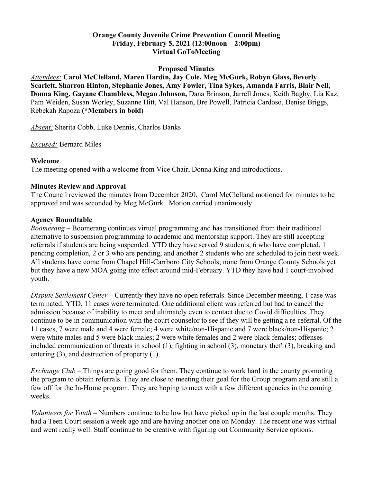### **Orange County Juvenile Crime Prevention Council Meeting Friday, February 5, 2021 (12:00noon – 2:00pm) Virtual GoToMeeting**

#### **Proposed Minutes**

*Attendees:* **Carol McClelland, Maren Hardin, Jay Cole, Meg McGurk, Robyn Glass, Beverly Scarlett, Sharron Hinton, Stephanie Jones, Amy Fowler, Tina Sykes, Amanda Farris, Blair Nell, Donna King, Gayane Chambless, Megan Johnson,** Dana Brinson, Jarrell Jones, Keith Bagby, Lia Kaz, Pam Weiden, Susan Worley, Suzanne Hitt, Val Hanson, Bre Powell, Patricia Cardoso, Denise Briggs, Rebekah Rapoza **(\*Members in bold)**

*Absent:* Sherita Cobb, Luke Dennis, Charlos Banks

*Excused:* Bernard Miles

### **Welcome**

The meeting opened with a welcome from Vice Chair, Donna King and introductions.

## **Minutes Review and Approval**

The Council reviewed the minutes from December 2020. Carol McClelland motioned for minutes to be approved and was seconded by Meg McGurk. Motion carried unanimously.

### **Agency Roundtable**

*Boomerang* – Boomerang continues virtual programming and has transitioned from their traditional alternative to suspension programming to academic and mentorship support. They are still accepting referrals if students are being suspended. YTD they have served 9 students, 6 who have completed, 1 pending completion, 2 or 3 who are pending, and another 2 students who are scheduled to join next week. All students have come from Chapel Hill-Carrboro City Schools; none from Orange County Schools yet but they have a new MOA going into effect around mid-February. YTD they have had 1 court-involved youth.

*Dispute Settlement Center* – Currently they have no open referrals. Since December meeting, 1 case was terminated; YTD, 11 cases were terminated. One additional client was referred but had to cancel the admission because of inability to meet and ultimately even to contact due to Covid difficulties. They continue to be in communication with the court counselor to see if they will be getting a re-referral. Of the 11 cases, 7 were male and 4 were female; 4 were white/non-Hispanic and 7 were black/non-Hispanic; 2 were white males and 5 were black males; 2 were white females and 2 were black females; offenses included communication of threats in school (1), fighting in school (3), monetary theft (3), breaking and entering (3), and destruction of property (1).

*Exchange Club – Things are going good for them. They continue to work hard in the county promoting* the program to obtain referrals. They are close to meeting their goal for the Group program and are still a few off for the In-Home program. They are hoping to meet with a few different agencies in the coming weeks.

*Volunteers for Youth* – Numbers continue to be low but have picked up in the last couple months. They had a Teen Court session a week ago and are having another one on Monday. The recent one was virtual and went really well. Staff continue to be creative with figuring out Community Service options.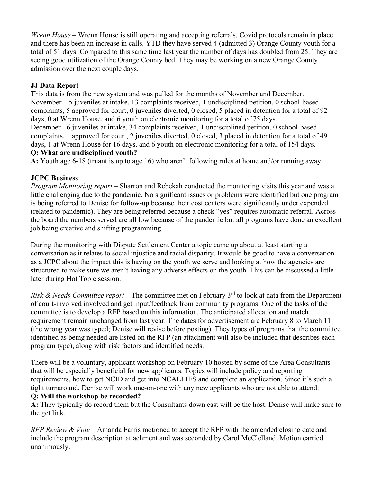*Wrenn House* – Wrenn House is still operating and accepting referrals. Covid protocols remain in place and there has been an increase in calls. YTD they have served 4 (admitted 3) Orange County youth for a total of 51 days. Compared to this same time last year the number of days has doubled from 25. They are seeing good utilization of the Orange County bed. They may be working on a new Orange County admission over the next couple days.

# **JJ Data Report**

This data is from the new system and was pulled for the months of November and December. November – 5 juveniles at intake, 13 complaints received, 1 undisciplined petition, 0 school-based complaints, 5 approved for court, 0 juveniles diverted, 0 closed, 5 placed in detention for a total of 92 days, 0 at Wrenn House, and 6 youth on electronic monitoring for a total of 75 days. December - 6 juveniles at intake, 34 complaints received, 1 undisciplined petition, 0 school-based complaints, 1 approved for court, 2 juveniles diverted, 0 closed, 3 placed in detention for a total of 49 days, 1 at Wrenn House for 16 days, and 6 youth on electronic monitoring for a total of 154 days.

# **Q: What are undisciplined youth?**

**A:** Youth age 6-18 (truant is up to age 16) who aren't following rules at home and/or running away.

# **JCPC Business**

*Program Monitoring report –* Sharron and Rebekah conducted the monitoring visits this year and was a little challenging due to the pandemic. No significant issues or problems were identified but one program is being referred to Denise for follow-up because their cost centers were significantly under expended (related to pandemic). They are being referred because a check "yes" requires automatic referral. Across the board the numbers served are all low because of the pandemic but all programs have done an excellent job being creative and shifting programming.

During the monitoring with Dispute Settlement Center a topic came up about at least starting a conversation as it relates to social injustice and racial disparity. It would be good to have a conversation as a JCPC about the impact this is having on the youth we serve and looking at how the agencies are structured to make sure we aren't having any adverse effects on the youth. This can be discussed a little later during Hot Topic session.

*Risk & Needs Committee report* – The committee met on February 3<sup>rd</sup> to look at data from the Department of court-involved involved and get input/feedback from community programs. One of the tasks of the committee is to develop a RFP based on this information. The anticipated allocation and match requirement remain unchanged from last year. The dates for advertisement are February 8 to March 11 (the wrong year was typed; Denise will revise before posting). They types of programs that the committee identified as being needed are listed on the RFP (an attachment will also be included that describes each program type), along with risk factors and identified needs.

There will be a voluntary, applicant workshop on February 10 hosted by some of the Area Consultants that will be especially beneficial for new applicants. Topics will include policy and reporting requirements, how to get NCID and get into NCALLIES and complete an application. Since it's such a tight turnaround, Denise will work one-on-one with any new applicants who are not able to attend. **Q: Will the workshop be recorded?** 

**A:** They typically do record them but the Consultants down east will be the host. Denise will make sure to the get link.

*RFP Review & Vote* – Amanda Farris motioned to accept the RFP with the amended closing date and include the program description attachment and was seconded by Carol McClelland. Motion carried unanimously.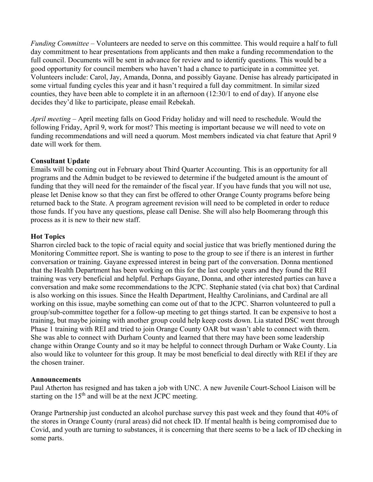*Funding Committee –* Volunteers are needed to serve on this committee. This would require a half to full day commitment to hear presentations from applicants and then make a funding recommendation to the full council. Documents will be sent in advance for review and to identify questions. This would be a good opportunity for council members who haven't had a chance to participate in a committee yet. Volunteers include: Carol, Jay, Amanda, Donna, and possibly Gayane. Denise has already participated in some virtual funding cycles this year and it hasn't required a full day commitment. In similar sized counties, they have been able to complete it in an afternoon (12:30/1 to end of day). If anyone else decides they'd like to participate, please email Rebekah.

*April meeting –* April meeting falls on Good Friday holiday and will need to reschedule. Would the following Friday, April 9, work for most? This meeting is important because we will need to vote on funding recommendations and will need a quorum. Most members indicated via chat feature that April 9 date will work for them.

#### **Consultant Update**

Emails will be coming out in February about Third Quarter Accounting. This is an opportunity for all programs and the Admin budget to be reviewed to determine if the budgeted amount is the amount of funding that they will need for the remainder of the fiscal year. If you have funds that you will not use, please let Denise know so that they can first be offered to other Orange County programs before being returned back to the State. A program agreement revision will need to be completed in order to reduce those funds. If you have any questions, please call Denise. She will also help Boomerang through this process as it is new to their new staff.

### **Hot Topics**

Sharron circled back to the topic of racial equity and social justice that was briefly mentioned during the Monitoring Committee report. She is wanting to pose to the group to see if there is an interest in further conversation or training. Gayane expressed interest in being part of the conversation. Donna mentioned that the Health Department has been working on this for the last couple years and they found the REI training was very beneficial and helpful. Perhaps Gayane, Donna, and other interested parties can have a conversation and make some recommendations to the JCPC. Stephanie stated (via chat box) that Cardinal is also working on this issues. Since the Health Department, Healthy Carolinians, and Cardinal are all working on this issue, maybe something can come out of that to the JCPC. Sharron volunteered to pull a group/sub-committee together for a follow-up meeting to get things started. It can be expensive to host a training, but maybe joining with another group could help keep costs down. Lia stated DSC went through Phase 1 training with REI and tried to join Orange County OAR but wasn't able to connect with them. She was able to connect with Durham County and learned that there may have been some leadership change within Orange County and so it may be helpful to connect through Durham or Wake County. Lia also would like to volunteer for this group. It may be most beneficial to deal directly with REI if they are the chosen trainer.

## **Announcements**

Paul Atherton has resigned and has taken a job with UNC. A new Juvenile Court-School Liaison will be starting on the  $15<sup>th</sup>$  and will be at the next JCPC meeting.

Orange Partnership just conducted an alcohol purchase survey this past week and they found that 40% of the stores in Orange County (rural areas) did not check ID. If mental health is being compromised due to Covid, and youth are turning to substances, it is concerning that there seems to be a lack of ID checking in some parts.